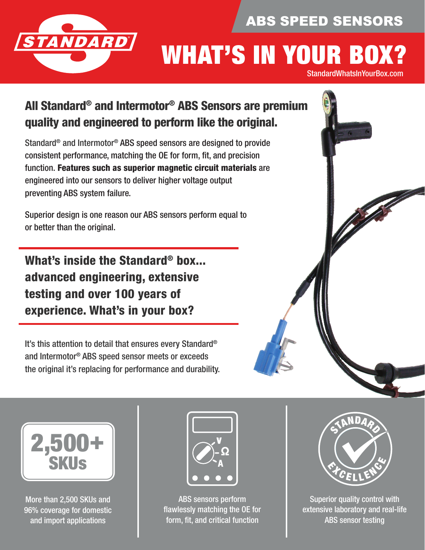## ABS SPEED SENSORS



# WHAT'S IN YOUR BOX?

StandardWhatsInYourBox.com

## All Standard® and Intermotor® ABS Sensors are premium quality and engineered to perform like the original.

Standard® and Intermotor® ABS speed sensors are designed to provide consistent performance, matching the OE for form, ft, and precision function. Features such as superior magnetic circuit materials are engineered into our sensors to deliver higher voltage output preventing ABS system failure.

Superior design is one reason our ABS sensors perform equal to or better than the original.

What's inside the Standard® box... advanced engineering, extensive testing and over 100 years of experience. What's in your box?

It's this attention to detail that ensures every Standard® and Intermotor® ABS speed sensor meets or exceeds the original it's replacing for performance and durability.





More than 2,500 SKUs and 96% coverage for domestic and import applications



ABS sensors perform flawlessly matching the OE for form, fit, and critical function



Superior quality control with extensive laboratory and real-life **ABS** sensor testing